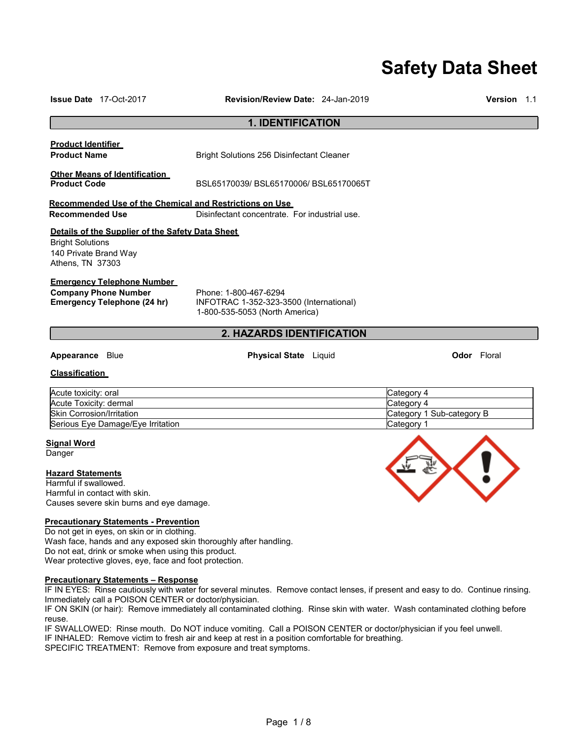# **Safety Data Sheet**

| <b>Issue Date</b> 17-Oct-2017                                                                                                                                                                                                                                                    | <b>Revision/Review Date: 24-Jan-2019</b>                                                                                         | <b>Version</b> 1.1                                                  |
|----------------------------------------------------------------------------------------------------------------------------------------------------------------------------------------------------------------------------------------------------------------------------------|----------------------------------------------------------------------------------------------------------------------------------|---------------------------------------------------------------------|
|                                                                                                                                                                                                                                                                                  | <b>1. IDENTIFICATION</b>                                                                                                         |                                                                     |
| <b>Product Identifier</b><br><b>Product Name</b>                                                                                                                                                                                                                                 | <b>Bright Solutions 256 Disinfectant Cleaner</b>                                                                                 |                                                                     |
| <b>Other Means of Identification</b><br><b>Product Code</b>                                                                                                                                                                                                                      | BSL65170039/BSL65170006/BSL65170065T                                                                                             |                                                                     |
| Recommended Use of the Chemical and Restrictions on Use<br><b>Recommended Use</b>                                                                                                                                                                                                | Disinfectant concentrate. For industrial use.                                                                                    |                                                                     |
| Details of the Supplier of the Safety Data Sheet<br><b>Bright Solutions</b><br>140 Private Brand Way<br>Athens, TN 37303                                                                                                                                                         |                                                                                                                                  |                                                                     |
| <b>Emergency Telephone Number</b><br><b>Company Phone Number</b><br><b>Emergency Telephone (24 hr)</b>                                                                                                                                                                           | Phone: 1-800-467-6294<br>INFOTRAC 1-352-323-3500 (International)<br>1-800-535-5053 (North America)                               |                                                                     |
|                                                                                                                                                                                                                                                                                  | 2. HAZARDS IDENTIFICATION                                                                                                        |                                                                     |
| <b>Appearance</b> Blue                                                                                                                                                                                                                                                           | <b>Physical State</b> Liquid                                                                                                     | <b>Odor</b> Floral                                                  |
| <b>Classification</b>                                                                                                                                                                                                                                                            |                                                                                                                                  |                                                                     |
| Acute toxicity: oral<br>Acute Toxicity: dermal<br><b>Skin Corrosion/Irritation</b><br>Serious Eye Damage/Eye Irritation                                                                                                                                                          |                                                                                                                                  | Category 4<br>Category 4<br>Category 1 Sub-category B<br>Category 1 |
| <b>Signal Word</b><br>Danger                                                                                                                                                                                                                                                     |                                                                                                                                  |                                                                     |
| <b>Hazard Statements</b><br>Harmful if swallowed.<br>Harmful in contact with skin.<br>Causes severe skin burns and eye damage.                                                                                                                                                   |                                                                                                                                  |                                                                     |
| <b>Precautionary Statements - Prevention</b><br>Do not get in eyes, on skin or in clothing.<br>Wash face, hands and any exposed skin thoroughly after handling.<br>Do not eat, drink or smoke when using this product.<br>Wear protective gloves, eye, face and foot protection. |                                                                                                                                  |                                                                     |
| <b>Precautionary Statements - Response</b><br>Immediately call a POISON CENTER or doctor/physician.                                                                                                                                                                              | IF IN EYES: Rinse cautiously with water for several minutes. Remove contact lenses, if present and easy to do. Continue rinsing. |                                                                     |

IF ON SKIN (or hair): Remove immediately all contaminated clothing. Rinse skin with water. Wash contaminated clothing before reuse.

IF SWALLOWED: Rinse mouth. Do NOT induce vomiting. Call a POISON CENTER or doctor/physician if you feel unwell.

IF INHALED: Remove victim to fresh air and keep at rest in a position comfortable for breathing.

SPECIFIC TREATMENT: Remove from exposure and treat symptoms.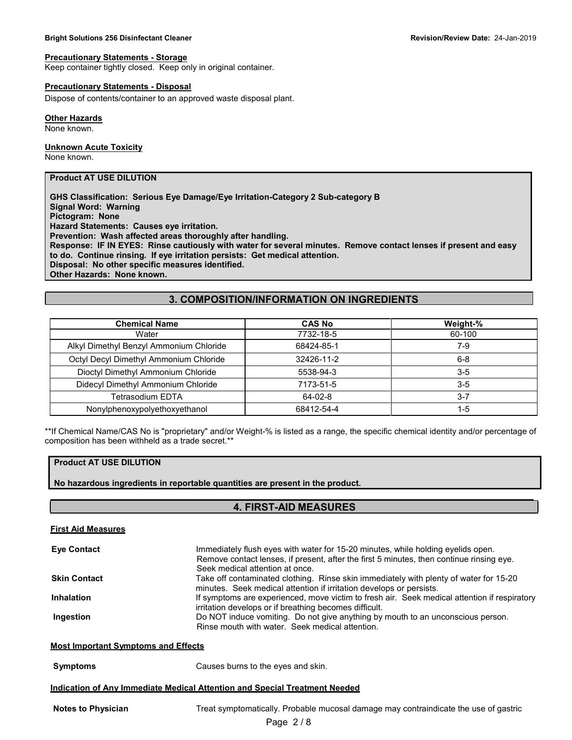#### **Bright Solutions 256 Disinfectant Cleaner Revision/Review Date:** 24-Jan-2019

#### **Precautionary Statements - Storage**

Keep container tightly closed. Keep only in original container.

#### **Precautionary Statements - Disposal**

Dispose of contents/container to an approved waste disposal plant.

#### **Other Hazards**

None known.

#### **Unknown Acute Toxicity**

None known.

#### **Product AT USE DILUTION**

**GHS Classification: Serious Eye Damage/Eye Irritation-Category 2 Sub-category B Signal Word: Warning Pictogram: None Hazard Statements: Causes eye irritation. Prevention: Wash affected areas thoroughly after handling. Response: IF IN EYES: Rinse cautiously with water for several minutes. Remove contact lenses if present and easy to do. Continue rinsing. If eye irritation persists: Get medical attention. Disposal: No other specific measures identified. Other Hazards: None known.**

## **3. COMPOSITION/INFORMATION ON INGREDIENTS**

| <b>Chemical Name</b>                    | <b>CAS No</b> | Weight-% |
|-----------------------------------------|---------------|----------|
| Water                                   | 7732-18-5     | 60-100   |
| Alkyl Dimethyl Benzyl Ammonium Chloride | 68424-85-1    | 7-9      |
| Octyl Decyl Dimethyl Ammonium Chloride  | 32426-11-2    | $6 - 8$  |
| Dioctyl Dimethyl Ammonium Chloride      | 5538-94-3     | $3 - 5$  |
| Didecyl Dimethyl Ammonium Chloride      | 7173-51-5     | $3 - 5$  |
| Tetrasodium EDTA                        | 64-02-8       | $3 - 7$  |
| Nonylphenoxypolyethoxyethanol           | 68412-54-4    | 1-5      |

\*\*If Chemical Name/CAS No is "proprietary" and/or Weight-% is listed as a range, the specific chemical identity and/or percentage of composition has been withheld as a trade secret.\*\*

## **Product AT USE DILUTION**

**No hazardous ingredients in reportable quantities are present in the product.**

#### **4. FIRST-AID MEASURES**

| <b>First Aid Measures</b>                  |                                                                                                                                                                                                                 |
|--------------------------------------------|-----------------------------------------------------------------------------------------------------------------------------------------------------------------------------------------------------------------|
| <b>Eye Contact</b>                         | Immediately flush eyes with water for 15-20 minutes, while holding eyelids open.<br>Remove contact lenses, if present, after the first 5 minutes, then continue rinsing eye.<br>Seek medical attention at once. |
| <b>Skin Contact</b>                        | Take off contaminated clothing. Rinse skin immediately with plenty of water for 15-20<br>minutes. Seek medical attention if irritation develops or persists.                                                    |
| <b>Inhalation</b>                          | If symptoms are experienced, move victim to fresh air. Seek medical attention if respiratory<br>irritation develops or if breathing becomes difficult.                                                          |
| Ingestion                                  | Do NOT induce vomiting. Do not give anything by mouth to an unconscious person.<br>Rinse mouth with water. Seek medical attention.                                                                              |
| <b>Most Important Symptoms and Effects</b> |                                                                                                                                                                                                                 |
| <b>Symptoms</b>                            | Causes burns to the eyes and skin.                                                                                                                                                                              |
|                                            | Indication of Any Immediate Medical Attention and Special Treatment Needed                                                                                                                                      |
| <b>Notes to Physician</b>                  | Treat symptomatically. Probable mucosal damage may contraindicate the use of gastric                                                                                                                            |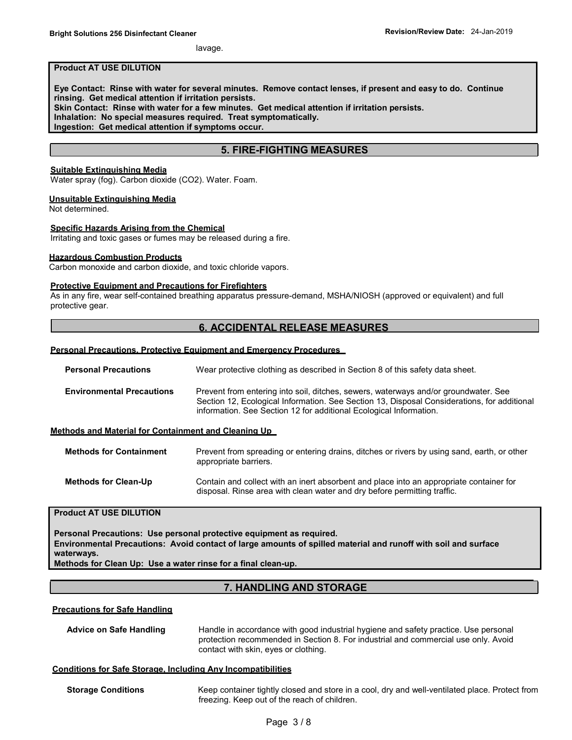lavage.

#### **Product AT USE DILUTION**

**Eye Contact: Rinse with water for several minutes. Remove contact lenses, if present and easy to do. Continue rinsing. Get medical attention if irritation persists. Skin Contact: Rinse with water for a few minutes. Get medical attention if irritation persists. Inhalation: No special measures required. Treat symptomatically. Ingestion: Get medical attention if symptoms occur.** 

## **5. FIRE-FIGHTING MEASURES**

#### **Suitable Extinguishing Media**

Water spray (fog). Carbon dioxide (CO2). Water. Foam.

#### **Unsuitable Extinguishing Media**

Not determined.

#### **Specific Hazards Arising from the Chemical**

Irritating and toxic gases or fumes may be released during a fire.

#### **Hazardous Combustion Products**

Carbon monoxide and carbon dioxide, and toxic chloride vapors.

#### **Protective Equipment and Precautions for Firefighters**

As in any fire, wear self-contained breathing apparatus pressure-demand, MSHA/NIOSH (approved or equivalent) and full protective gear.

## **6. ACCIDENTAL RELEASE MEASURES**

#### **Personal Precautions, Protective Equipment and Emergency Procedures**

| <b>Personal Precautions</b>      | Wear protective clothing as described in Section 8 of this safety data sheet.                                                                                                                                                                            |
|----------------------------------|----------------------------------------------------------------------------------------------------------------------------------------------------------------------------------------------------------------------------------------------------------|
| <b>Environmental Precautions</b> | Prevent from entering into soil, ditches, sewers, waterways and/or groundwater. See<br>Section 12, Ecological Information. See Section 13, Disposal Considerations, for additional<br>information. See Section 12 for additional Ecological Information. |
|                                  |                                                                                                                                                                                                                                                          |

#### **Methods and Material for Containment and Cleaning Up**

| <b>Methods for Containment</b> | Prevent from spreading or entering drains, ditches or rivers by using sand, earth, or other<br>appropriate barriers.                                                |
|--------------------------------|---------------------------------------------------------------------------------------------------------------------------------------------------------------------|
| <b>Methods for Clean-Up</b>    | Contain and collect with an inert absorbent and place into an appropriate container for<br>disposal. Rinse area with clean water and dry before permitting traffic. |

## **Product AT USE DILUTION**

**Personal Precautions: Use personal protective equipment as required. Environmental Precautions: Avoid contact of large amounts of spilled material and runoff with soil and surface waterways.**

**Methods for Clean Up: Use a water rinse for a final clean-up.**

## **7. HANDLING AND STORAGE**

#### **Precautions for Safe Handling**

**Advice on Safe Handling** Handle in accordance with good industrial hygiene and safety practice. Use personal protection recommended in Section 8. For industrial and commercial use only. Avoid contact with skin, eyes or clothing.

#### **Conditions for Safe Storage, Including Any Incompatibilities**

**Storage Conditions** Keep container tightly closed and store in a cool, dry and well-ventilated place. Protect from freezing. Keep out of the reach of children.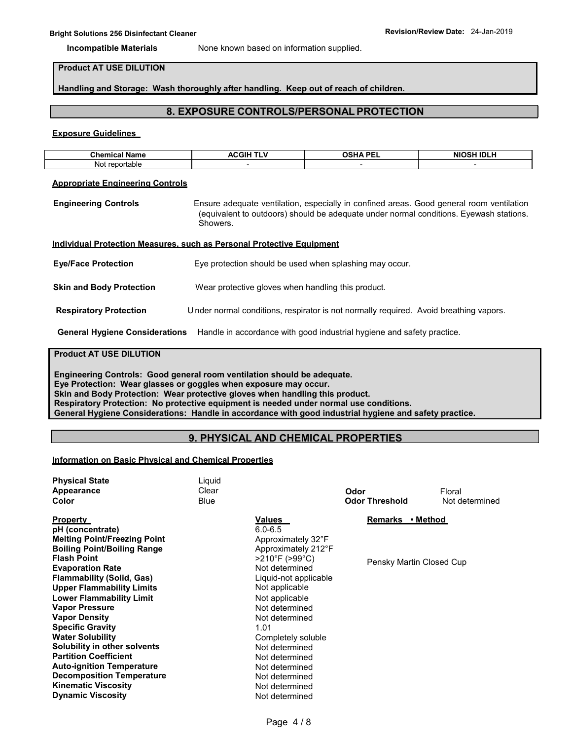**Incompatible Materials** None known based on information supplied.

## **Product AT USE DILUTION**

**Handling and Storage: Wash thoroughly after handling. Keep out of reach of children.**

## **8. EXPOSURE CONTROLS/PERSONAL PROTECTION**

#### **Exposure Guidelines**

| Chemical<br>Name | <b>\CGIH</b><br>.<br>^C<br>.<br>┄ | OCUA DEI | <b>SH IDLH</b><br><b>NIO</b><br>ISH |
|------------------|-----------------------------------|----------|-------------------------------------|
| Not reportable   |                                   |          |                                     |

#### **Appropriate Engineering Controls**

**Engineering Controls** Ensure adequate ventilation, especially in confined areas. Good general room ventilation (equivalent to outdoors) should be adequate under normal conditions. Eyewash stations. Showers.

#### **Individual Protection Measures, such as Personal Protective Equipment**

| <b>Eye/Face Protection</b>      | Eye protection should be used when splashing may occur.                               |
|---------------------------------|---------------------------------------------------------------------------------------|
| <b>Skin and Body Protection</b> | Wear protective gloves when handling this product.                                    |
| <b>Respiratory Protection</b>   | Under normal conditions, respirator is not normally required. Avoid breathing vapors. |

#### **General Hygiene Considerations** Handle in accordance with good industrial hygiene and safety practice.

## **Product AT USE DILUTION**

**Engineering Controls: Good general room ventilation should be adequate. Eye Protection: Wear glasses or goggles when exposure may occur. Skin and Body Protection: Wear protective gloves when handling this product. Respiratory Protection: No protective equipment is needed under normal use conditions. General Hygiene Considerations: Handle in accordance with good industrial hygiene and safety practice.**

## **9. PHYSICAL AND CHEMICAL PROPERTIES**

#### **Information on Basic Physical and Chemical Properties**

| <b>Physical State</b><br>Appearance<br>Color                                                                                   | Liquid<br>Clear<br>Blue |                                                                             | Odor<br><b>Odor Threshold</b> | Floral<br>Not determined |
|--------------------------------------------------------------------------------------------------------------------------------|-------------------------|-----------------------------------------------------------------------------|-------------------------------|--------------------------|
| <b>Property</b><br>pH (concentrate)<br><b>Melting Point/Freezing Point</b><br><b>Boiling Point/Boiling Range</b>               |                         | <b>Values</b><br>$6.0 - 6.5$<br>Approximately 32°F<br>Approximately 212°F   | Remarks • Method              |                          |
| <b>Flash Point</b><br><b>Evaporation Rate</b><br><b>Flammability (Solid, Gas)</b><br><b>Upper Flammability Limits</b>          |                         | >210°F (>99°C)<br>Not determined<br>Liquid-not applicable<br>Not applicable | Pensky Martin Closed Cup      |                          |
| <b>Lower Flammability Limit</b><br><b>Vapor Pressure</b><br><b>Vapor Density</b><br><b>Specific Gravity</b>                    |                         | Not applicable<br>Not determined<br>Not determined<br>1.01                  |                               |                          |
| <b>Water Solubility</b><br><b>Solubility in other solvents</b><br><b>Partition Coefficient</b>                                 |                         | Completely soluble<br>Not determined<br>Not determined                      |                               |                          |
| <b>Auto-ignition Temperature</b><br><b>Decomposition Temperature</b><br><b>Kinematic Viscosity</b><br><b>Dynamic Viscosity</b> |                         | Not determined<br>Not determined<br>Not determined<br>Not determined        |                               |                          |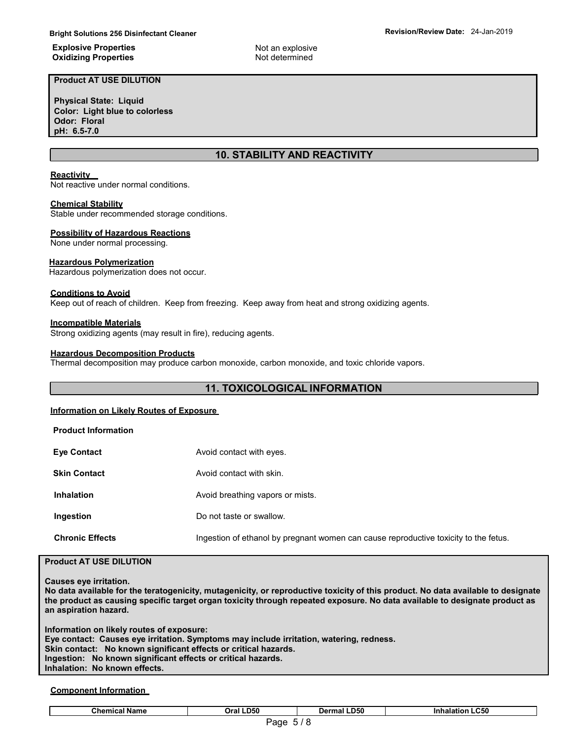#### **Explosive Properties Oxidizing Properties**

**Product AT USE DILUTION**

**Physical State: Liquid Color: Light blue to colorless Odor: Floral pH: 6.5-7.0**

## **10. STABILITY AND REACTIVITY**

Not an explosive Not determined

#### **Reactivity**

Not reactive under normal conditions.

#### **Chemical Stability**

Stable under recommended storage conditions.

#### **Possibility of Hazardous Reactions**

None under normal processing.

#### **Hazardous Polymerization**

Hazardous polymerization does not occur.

#### **Conditions to Avoid**

Keep out of reach of children. Keep from freezing. Keep away from heat and strong oxidizing agents.

#### **Incompatible Materials**

Strong oxidizing agents (may result in fire), reducing agents.

#### **Hazardous Decomposition Products**

Thermal decomposition may produce carbon monoxide, carbon monoxide, and toxic chloride vapors.

## **11. TOXICOLOGICAL INFORMATION**

#### **Information on Likely Routes of Exposure**

| <b>Product Information</b> |                                                                                      |
|----------------------------|--------------------------------------------------------------------------------------|
| <b>Eye Contact</b>         | Avoid contact with eyes.                                                             |
| <b>Skin Contact</b>        | Avoid contact with skin.                                                             |
| <b>Inhalation</b>          | Avoid breathing vapors or mists.                                                     |
| Ingestion                  | Do not taste or swallow.                                                             |
| <b>Chronic Effects</b>     | Ingestion of ethanol by pregnant women can cause reproductive toxicity to the fetus. |

## **Product AT USE DILUTION**

**Causes eye irritation.**

**No data available for the teratogenicity, mutagenicity, or reproductive toxicity of this product. No data available to designate the product as causing specific target organ toxicity through repeated exposure. No data available to designate product as an aspiration hazard.** 

**Information on likely routes of exposure: Eye contact: Causes eye irritation. Symptoms may include irritation, watering, redness. Skin contact: No known significant effects or critical hazards. Ingestion: No known significant effects or critical hazards. Inhalation: No known effects.**

#### **Component Information**

## Page 5 / 8 **Chemical Name Oral LD50 Dermal LD50 Inhalation LC50**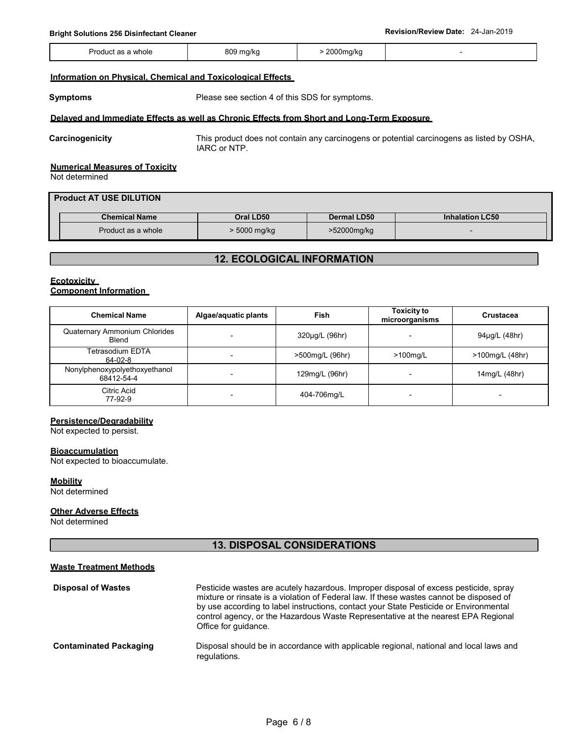## **Bright Solutions 256 Disinfectant Cleaner Revision/Review Date:** 24-Jan-2019

| Produ<br>as a whole | 809<br>) mg/kg<br>$\cdot$ | 2000ma/ka<br>$\ddot{\phantom{1}}$ |  |
|---------------------|---------------------------|-----------------------------------|--|
|                     |                           |                                   |  |

#### **Information on Physical, Chemical and Toxicological Effects**

**Symptoms** Please see section 4 of this SDS for symptoms.

#### **Delayed and Immediate Effects as well as Chronic Effects from Short and Long-Term Exposure**

**Carcinogenicity** This product does not contain any carcinogens or potential carcinogens as listed by OSHA, IARC or NTP.

#### **Numerical Measures of Toxicity**

Not determined

| <b>Product AT USE DILUTION</b> |                      |                |                    |                        |  |  |
|--------------------------------|----------------------|----------------|--------------------|------------------------|--|--|
|                                | <b>Chemical Name</b> | Oral LD50      | <b>Dermal LD50</b> | <b>Inhalation LC50</b> |  |  |
|                                | Product as a whole   | $> 5000$ mg/kg | >52000mg/kg        |                        |  |  |

## **12. ECOLOGICAL INFORMATION**

#### **Ecotoxicity Component Information**

| <b>Chemical Name</b>                        | Algae/aquatic plants | Fish            | <b>Toxicity to</b><br>microorganisms | <b>Crustacea</b>         |
|---------------------------------------------|----------------------|-----------------|--------------------------------------|--------------------------|
| Quaternary Ammonium Chlorides<br>Blend      |                      | 320µg/L (96hr)  |                                      | 94µg/L (48hr)            |
| Tetrasodium EDTA<br>64-02-8                 | -                    | >500mg/L (96hr) | $>100$ mg/L                          | >100mg/L (48hr)          |
| Nonylphenoxypolyethoxyethanol<br>68412-54-4 |                      | 129mg/L (96hr)  |                                      | 14mg/L (48hr)            |
| Citric Acid<br>77-92-9                      |                      | 404-706mg/L     |                                      | $\overline{\phantom{0}}$ |

## **Persistence/Degradability**

Not expected to persist.

#### **Bioaccumulation**

Not expected to bioaccumulate.

**Mobility** Not determined

#### **Other Adverse Effects**

Not determined

## **13. DISPOSAL CONSIDERATIONS**

#### **Waste Treatment Methods**

| <b>Disposal of Wastes</b>     | Pesticide wastes are acutely hazardous. Improper disposal of excess pesticide, spray<br>mixture or rinsate is a violation of Federal law. If these wastes cannot be disposed of<br>by use according to label instructions, contact your State Pesticide or Environmental<br>control agency, or the Hazardous Waste Representative at the nearest EPA Regional<br>Office for quidance. |
|-------------------------------|---------------------------------------------------------------------------------------------------------------------------------------------------------------------------------------------------------------------------------------------------------------------------------------------------------------------------------------------------------------------------------------|
| <b>Contaminated Packaging</b> | Disposal should be in accordance with applicable regional, national and local laws and<br>regulations.                                                                                                                                                                                                                                                                                |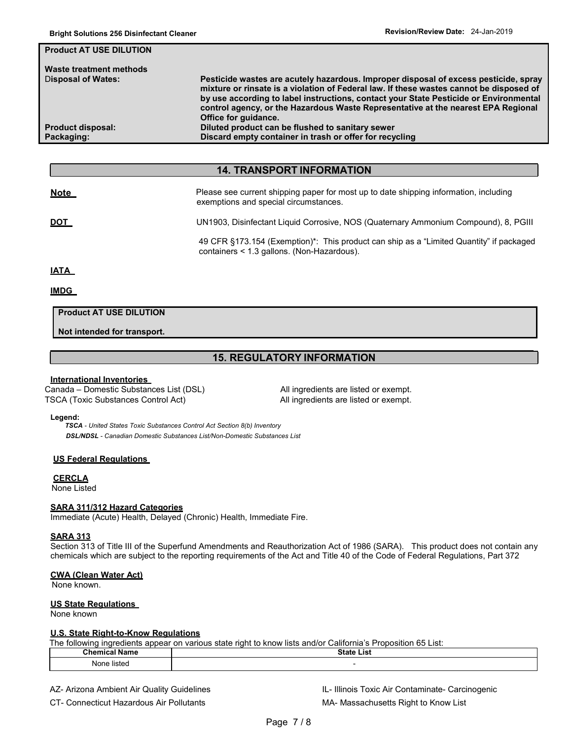| Pesticide wastes are acutely hazardous. Improper disposal of excess pesticide, spray<br>mixture or rinsate is a violation of Federal law. If these wastes cannot be disposed of<br>by use according to label instructions, contact your State Pesticide or Environmental<br>control agency, or the Hazardous Waste Representative at the nearest EPA Regional<br>Office for quidance. |
|---------------------------------------------------------------------------------------------------------------------------------------------------------------------------------------------------------------------------------------------------------------------------------------------------------------------------------------------------------------------------------------|
| Diluted product can be flushed to sanitary sewer                                                                                                                                                                                                                                                                                                                                      |
| Discard empty container in trash or offer for recycling                                                                                                                                                                                                                                                                                                                               |
|                                                                                                                                                                                                                                                                                                                                                                                       |

## **14. TRANSPORT INFORMATION**

| <u>Note</u> | Please see current shipping paper for most up to date shipping information, including<br>exemptions and special circumstances.        |
|-------------|---------------------------------------------------------------------------------------------------------------------------------------|
| <u>DOT</u>  | UN1903, Disinfectant Liquid Corrosive, NOS (Quaternary Ammonium Compound), 8, PGIII                                                   |
|             | 49 CFR §173.154 (Exemption)*: This product can ship as a "Limited Quantity" if packaged<br>containers < 1.3 gallons. (Non-Hazardous). |
| <u>IATA</u> |                                                                                                                                       |

#### **IMDG**

## **Product AT USE DILUTION**

**Not intended for transport.**

## **15. REGULATORY INFORMATION**

#### **International Inventories**

Canada – Domestic Substances List (DSL) All ingredients are listed or exempt. TSCA (Toxic Substances Control Act) All ingredients are listed or exempt.

#### **Legend:**

*TSCA - United States Toxic Substances Control Act Section 8(b) Inventory DSL/NDSL - Canadian Domestic Substances List/Non-Domestic Substances List*

#### **US Federal Regulations**

## **CERCLA**

None Listed

#### **SARA 311/312 Hazard Categories**

Immediate (Acute) Health, Delayed (Chronic) Health, Immediate Fire.

#### **SARA 313**

Section 313 of Title III of the Superfund Amendments and Reauthorization Act of 1986 (SARA). This product does not contain any chemicals which are subject to the reporting requirements of the Act and Title 40 of the Code of Federal Regulations, Part 372

#### **CWA (Clean Water Act)**

None known.

#### **US State Regulations**

None known

#### **U.S. State Right-to-Know Regulations**

The following ingredients appear on various state right to know lists and/or California's Proposition 65 List:

| - - -<br>- -<br>AL - --- | $C_{\text{max}}$<br>.<br>$\sim$<br>. |  |
|--------------------------|--------------------------------------|--|
| Nor 1<br>بمثعنا<br>.     |                                      |  |

AZ- Arizona Ambient Air Quality Guidelines **Internative Contaminate- Carcinogenic** IL- Illinois Toxic Air Contaminate- Carcinogenic

CT- Connecticut Hazardous Air Pollutants MA-Massachusetts Right to Know List